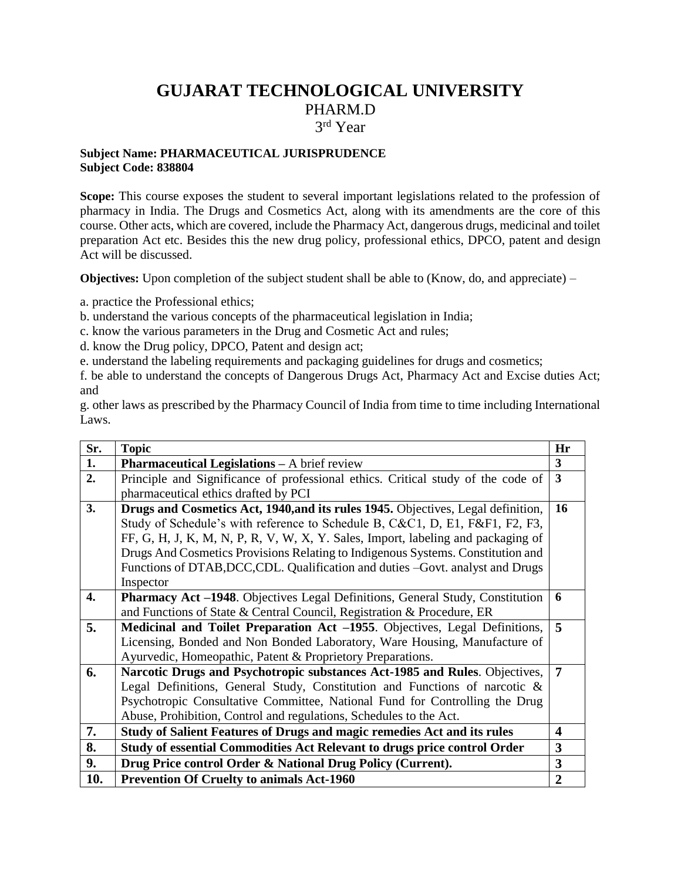# **GUJARAT TECHNOLOGICAL UNIVERSITY** PHARM.D 3 rd Year

#### **Subject Name: PHARMACEUTICAL JURISPRUDENCE Subject Code: 838804**

Scope: This course exposes the student to several important legislations related to the profession of pharmacy in India. The Drugs and Cosmetics Act, along with its amendments are the core of this course. Other acts, which are covered, include the Pharmacy Act, dangerous drugs, medicinal and toilet preparation Act etc. Besides this the new drug policy, professional ethics, DPCO, patent and design Act will be discussed.

**Objectives:** Upon completion of the subject student shall be able to (Know, do, and appreciate) –

a. practice the Professional ethics;

b. understand the various concepts of the pharmaceutical legislation in India;

c. know the various parameters in the Drug and Cosmetic Act and rules;

d. know the Drug policy, DPCO, Patent and design act;

e. understand the labeling requirements and packaging guidelines for drugs and cosmetics;

f. be able to understand the concepts of Dangerous Drugs Act, Pharmacy Act and Excise duties Act; and

g. other laws as prescribed by the Pharmacy Council of India from time to time including International Laws.

| Sr. | <b>Topic</b>                                                                     | Hr               |
|-----|----------------------------------------------------------------------------------|------------------|
| 1.  | <b>Pharmaceutical Legislations - A brief review</b>                              | $\mathbf{3}$     |
| 2.  | Principle and Significance of professional ethics. Critical study of the code of | 3                |
|     | pharmaceutical ethics drafted by PCI                                             |                  |
| 3.  | Drugs and Cosmetics Act, 1940, and its rules 1945. Objectives, Legal definition, | 16               |
|     | Study of Schedule's with reference to Schedule B, C&C1, D, E1, F&F1, F2, F3,     |                  |
|     | FF, G, H, J, K, M, N, P, R, V, W, X, Y. Sales, Import, labeling and packaging of |                  |
|     | Drugs And Cosmetics Provisions Relating to Indigenous Systems. Constitution and  |                  |
|     | Functions of DTAB, DCC, CDL. Qualification and duties -Govt. analyst and Drugs   |                  |
|     | Inspector                                                                        |                  |
| 4.  | Pharmacy Act -1948. Objectives Legal Definitions, General Study, Constitution    | 6                |
|     | and Functions of State & Central Council, Registration & Procedure, ER           |                  |
| 5.  | Medicinal and Toilet Preparation Act -1955. Objectives, Legal Definitions,       | 5                |
|     | Licensing, Bonded and Non Bonded Laboratory, Ware Housing, Manufacture of        |                  |
|     | Ayurvedic, Homeopathic, Patent & Proprietory Preparations.                       |                  |
| 6.  | Narcotic Drugs and Psychotropic substances Act-1985 and Rules. Objectives,       | $\overline{7}$   |
|     | Legal Definitions, General Study, Constitution and Functions of narcotic $\&$    |                  |
|     | Psychotropic Consultative Committee, National Fund for Controlling the Drug      |                  |
|     | Abuse, Prohibition, Control and regulations, Schedules to the Act.               |                  |
| 7.  | Study of Salient Features of Drugs and magic remedies Act and its rules          | $\boldsymbol{4}$ |
| 8.  | Study of essential Commodities Act Relevant to drugs price control Order         | 3                |
| 9.  | Drug Price control Order & National Drug Policy (Current).                       | 3                |
| 10. | <b>Prevention Of Cruelty to animals Act-1960</b>                                 | $\overline{2}$   |